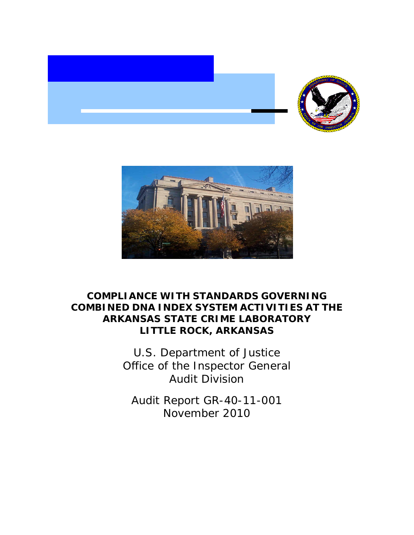



## **COMPLIANCE WITH STANDARDS GOVERNING COMBINED DNA INDEX SYSTEM ACTIVITIES AT THE ARKANSAS STATE CRIME LABORATORY LITTLE ROCK, ARKANSAS**

U.S. Department of Justice Office of the Inspector General Audit Division

Audit Report GR-40-11-001 November 2010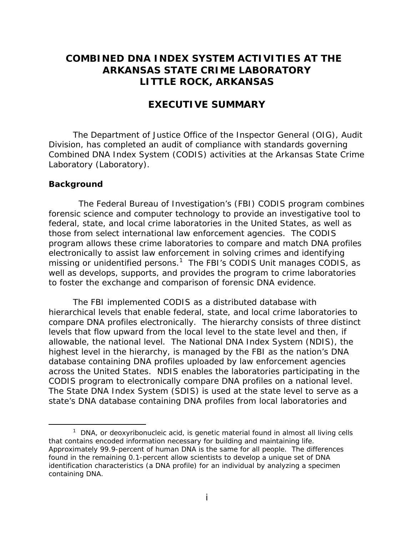## **COMBINED DNA INDEX SYSTEM ACTIVITIES AT THE ARKANSAS STATE CRIME LABORATORY LITTLE ROCK, ARKANSAS**

## **EXECUTIVE SUMMARY**

The Department of Justice Office of the Inspector General (OIG), Audit Division, has completed an audit of compliance with standards governing Combined DNA Index System (CODIS) activities at the Arkansas State Crime Laboratory (Laboratory).

#### **Background**

 $\overline{a}$ 

 The Federal Bureau of Investigation's (FBI) CODIS program combines forensic science and computer technology to provide an investigative tool to federal, state, and local crime laboratories in the United States, as well as those from select international law enforcement agencies. The CODIS program allows these crime laboratories to compare and match DNA profiles electronically to assist law enforcement in solving crimes and identifying missing or unidentified persons.<sup>1</sup> The FBI's CODIS Unit manages CODIS, as well as develops, supports, and provides the program to crime laboratories to foster the exchange and comparison of forensic DNA evidence.

The FBI implemented CODIS as a distributed database with hierarchical levels that enable federal, state, and local crime laboratories to compare DNA profiles electronically. The hierarchy consists of three distinct levels that flow upward from the local level to the state level and then, if allowable, the national level. The National DNA Index System (NDIS), the highest level in the hierarchy, is managed by the FBI as the nation's DNA database containing DNA profiles uploaded by law enforcement agencies across the United States. NDIS enables the laboratories participating in the CODIS program to electronically compare DNA profiles on a national level. The State DNA Index System (SDIS) is used at the state level to serve as a state's DNA database containing DNA profiles from local laboratories and

 that contains encoded information necessary for building and maintaining life.  $1$  DNA, or deoxyribonucleic acid, is genetic material found in almost all living cells Approximately 99.9-percent of human DNA is the same for all people. The differences found in the remaining 0.1-percent allow scientists to develop a unique set of DNA identification characteristics (a DNA profile) for an individual by analyzing a specimen containing DNA.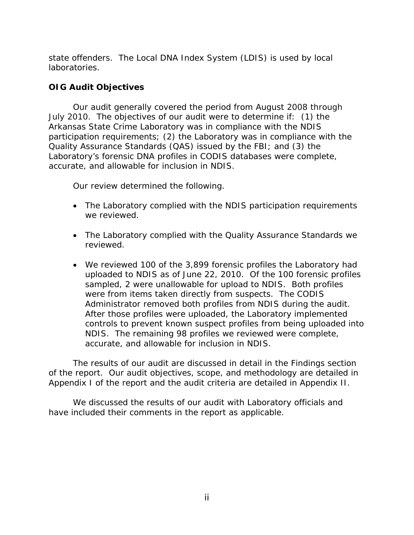state offenders. The Local DNA Index System (LDIS) is used by local laboratories.

## **OIG Audit Objectives**

Our audit generally covered the period from August 2008 through July 2010. The objectives of our audit were to determine if: (1) the Arkansas State Crime Laboratory was in compliance with the NDIS participation requirements; (2) the Laboratory was in compliance with the Quality Assurance Standards (QAS) issued by the FBI; and (3) the Laboratory's forensic DNA profiles in CODIS databases were complete, accurate, and allowable for inclusion in NDIS.

Our review determined the following.

- The Laboratory complied with the NDIS participation requirements we reviewed.
- The Laboratory complied with the Quality Assurance Standards we reviewed.
- We reviewed 100 of the 3,899 forensic profiles the Laboratory had uploaded to NDIS as of June 22, 2010. Of the 100 forensic profiles sampled, 2 were unallowable for upload to NDIS. Both profiles were from items taken directly from suspects. The CODIS Administrator removed both profiles from NDIS during the audit. After those profiles were uploaded, the Laboratory implemented controls to prevent known suspect profiles from being uploaded into NDIS. The remaining 98 profiles we reviewed were complete, accurate, and allowable for inclusion in NDIS.

The results of our audit are discussed in detail in the Findings section of the report. Our audit objectives, scope, and methodology are detailed in Appendix I of the report and the audit criteria are detailed in Appendix II.

We discussed the results of our audit with Laboratory officials and have included their comments in the report as applicable.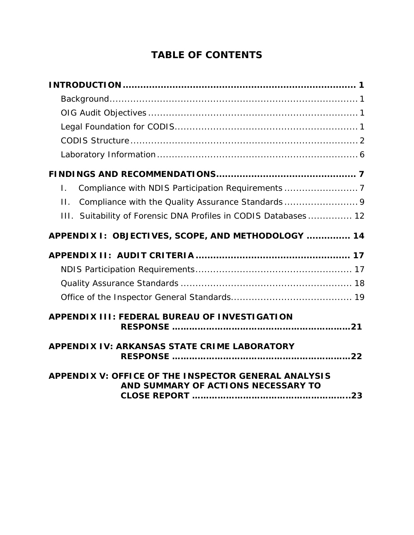# **TABLE OF CONTENTS**

| $\mathsf{L}$                                                                                |
|---------------------------------------------------------------------------------------------|
| Compliance with the Quality Assurance Standards 9<br>$\Pi$ .                                |
| III. Suitability of Forensic DNA Profiles in CODIS Databases 12                             |
| APPENDIX I: OBJECTIVES, SCOPE, AND METHODOLOGY  14                                          |
|                                                                                             |
|                                                                                             |
|                                                                                             |
|                                                                                             |
| APPENDIX III: FEDERAL BUREAU OF INVESTIGATION                                               |
| <b>APPENDIX IV: ARKANSAS STATE CRIME LABORATORY</b>                                         |
| APPENDIX V: OFFICE OF THE INSPECTOR GENERAL ANALYSIS<br>AND SUMMARY OF ACTIONS NECESSARY TO |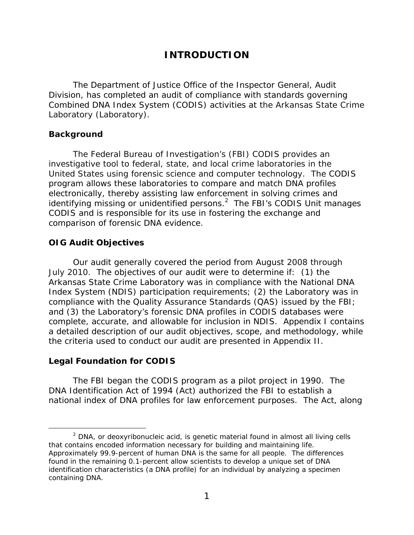## **INTRODUCTION**

<span id="page-4-0"></span>The Department of Justice Office of the Inspector General, Audit Division, has completed an audit of compliance with standards governing Combined DNA Index System (CODIS) activities at the Arkansas State Crime Laboratory (Laboratory).

## **Background**

The Federal Bureau of Investigation's (FBI) CODIS provides an investigative tool to federal, state, and local crime laboratories in the United States using forensic science and computer technology. The CODIS program allows these laboratories to compare and match DNA profiles electronically, thereby assisting law enforcement in solving crimes and identifying missing or unidentified persons. $2$  The FBI's CODIS Unit manages CODIS and is responsible for its use in fostering the exchange and comparison of forensic DNA evidence.

## **OIG Audit Objectives**

Our audit generally covered the period from August 2008 through July 2010. The objectives of our audit were to determine if: (1) the Arkansas State Crime Laboratory was in compliance with the National DNA Index System (NDIS) participation requirements; (2) the Laboratory was in compliance with the Quality Assurance Standards (QAS) issued by the FBI; and (3) the Laboratory's forensic DNA profiles in CODIS databases were complete, accurate, and allowable for inclusion in NDIS. Appendix I contains a detailed description of our audit objectives, scope, and methodology, while the criteria used to conduct our audit are presented in Appendix II.

## **Legal Foundation for CODIS**

 $\overline{a}$ 

The FBI began the CODIS program as a pilot project in 1990. The DNA Identification Act of 1994 (Act) authorized the FBI to establish a national index of DNA profiles for law enforcement purposes. The Act, along

that contains encoded information necessary for building and maintaining life.  $2$  DNA, or deoxyribonucleic acid, is genetic material found in almost all living cells Approximately 99.9-percent of human DNA is the same for all people. The differences found in the remaining 0.1-percent allow scientists to develop a unique set of DNA identification characteristics (a DNA profile) for an individual by analyzing a specimen containing DNA.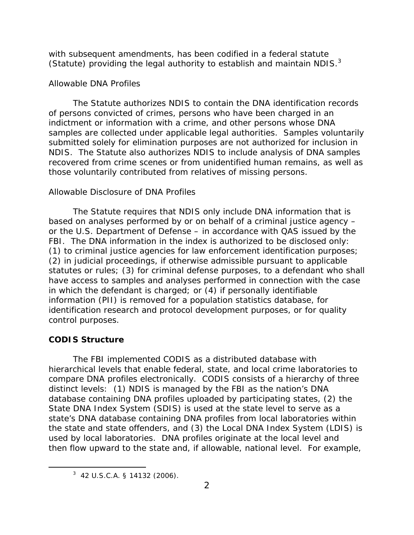<span id="page-5-0"></span>with subsequent amendments, has been codified in a federal statute (Statute) providing the legal authority to establish and maintain NDIS. $3$ 

## *Allowable DNA Profiles*

The Statute authorizes NDIS to contain the DNA identification records of persons convicted of crimes, persons who have been charged in an indictment or information with a crime, and other persons whose DNA samples are collected under applicable legal authorities. Samples voluntarily submitted solely for elimination purposes are not authorized for inclusion in NDIS. The Statute also authorizes NDIS to include analysis of DNA samples recovered from crime scenes or from unidentified human remains, as well as those voluntarily contributed from relatives of missing persons.

#### *Allowable Disclosure of DNA Profiles*

The Statute requires that NDIS only include DNA information that is based on analyses performed by or on behalf of a criminal justice agency – or the U.S. Department of Defense – in accordance with QAS issued by the FBI. The DNA information in the index is authorized to be disclosed only: (1) to criminal justice agencies for law enforcement identification purposes; (2) in judicial proceedings, if otherwise admissible pursuant to applicable statutes or rules; (3) for criminal defense purposes, to a defendant who shall have access to samples and analyses performed in connection with the case in which the defendant is charged; or (4) if personally identifiable information (PII) is removed for a population statistics database, for identification research and protocol development purposes, or for quality control purposes.

#### **CODIS Structure**

-

The FBI implemented CODIS as a distributed database with hierarchical levels that enable federal, state, and local crime laboratories to compare DNA profiles electronically. CODIS consists of a hierarchy of three distinct levels: (1) NDIS is managed by the FBI as the nation's DNA database containing DNA profiles uploaded by participating states, (2) the State DNA Index System (SDIS) is used at the state level to serve as a state's DNA database containing DNA profiles from local laboratories within the state and state offenders, and (3) the Local DNA Index System (LDIS) is used by local laboratories. DNA profiles originate at the local level and then flow upward to the state and, if allowable, national level. For example,

 $3$  42 U.S.C.A. § 14132 (2006).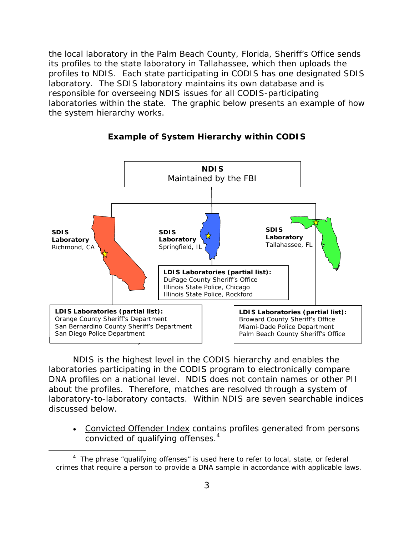the system hierarchy works. the local laboratory in the Palm Beach County, Florida, Sheriff's Office sends its profiles to the state laboratory in Tallahassee, which then uploads the profiles to NDIS. Each state participating in CODIS has one designated SDIS laboratory. The SDIS laboratory maintains its own database and is responsible for overseeing NDIS issues for all CODIS-participating laboratories within the state. The graphic below presents an example of how



NDIS is the highest level in the CODIS hierarchy and enables the laboratories participating in the CODIS program to electronically compare DNA profiles on a national level. NDIS does not contain names or other PII about the profiles. Therefore, matches are resolved through a system of laboratory-to-laboratory contacts. Within NDIS are seven searchable indices discussed below.

convicted of qualifying offenses.<sup>4</sup> • Convicted Offender Index contains profiles generated from persons

-

crimes that require a person to provide a DNA sample in accordance with applicable laws.<br> $3\,$ <sup>4</sup> The phrase "qualifying offenses" is used here to refer to local, state, or federal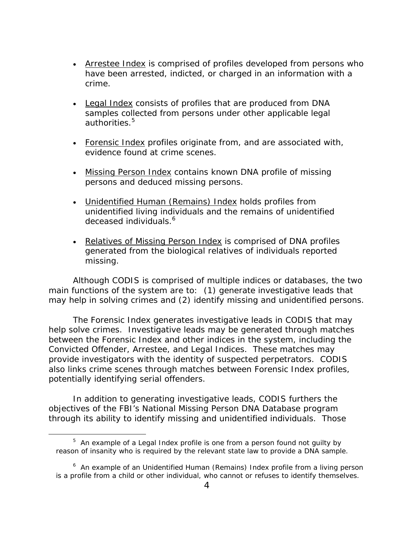- Arrestee Index is comprised of profiles developed from persons who have been arrested, indicted, or charged in an information with a crime.
- Legal Index consists of profiles that are produced from DNA samples collected from persons under other applicable legal authorities.<sup>5</sup>
- Forensic Index profiles originate from, and are associated with, evidence found at crime scenes.
- Missing Person Index contains known DNA profile of missing persons and deduced missing persons.
- deceased individuals.<sup>6</sup> • Unidentified Human (Remains) Index holds profiles from unidentified living individuals and the remains of unidentified
- Relatives of Missing Person Index is comprised of DNA profiles generated from the biological relatives of individuals reported missing.

Although CODIS is comprised of multiple indices or databases, the two main functions of the system are to: (1) generate investigative leads that may help in solving crimes and (2) identify missing and unidentified persons.

 potentially identifying serial offenders. The Forensic Index generates investigative leads in CODIS that may help solve crimes. Investigative leads may be generated through matches between the Forensic Index and other indices in the system, including the Convicted Offender, Arrestee, and Legal Indices. These matches may provide investigators with the identity of suspected perpetrators. CODIS also links crime scenes through matches between Forensic Index profiles,

In addition to generating investigative leads, CODIS furthers the objectives of the FBI's National Missing Person DNA Database program through its ability to identify missing and unidentified individuals. Those

 $\overline{a}$ 

 reason of insanity who is required by the relevant state law to provide a DNA sample.  $5$  An example of a Legal Index profile is one from a person found not guilty by

<sup>&</sup>lt;sup>6</sup> An example of an Unidentified Human (Remains) Index profile from a living person is a profile from a child or other individual, who cannot or refuses to identify themselves.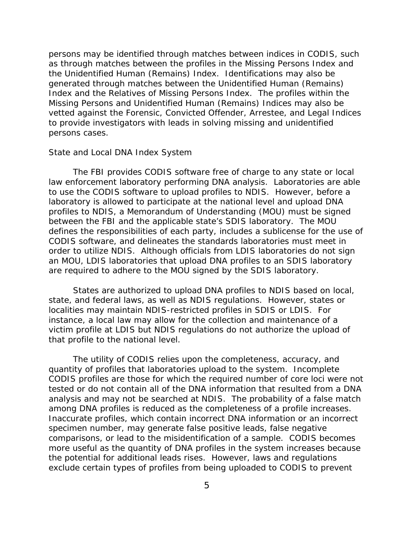persons may be identified through matches between indices in CODIS, such as through matches between the profiles in the Missing Persons Index and the Unidentified Human (Remains) Index. Identifications may also be generated through matches between the Unidentified Human (Remains) Index and the Relatives of Missing Persons Index. The profiles within the Missing Persons and Unidentified Human (Remains) Indices may also be vetted against the Forensic, Convicted Offender, Arrestee, and Legal Indices to provide investigators with leads in solving missing and unidentified persons cases.

#### *State and Local DNA Index System*

The FBI provides CODIS software free of charge to any state or local law enforcement laboratory performing DNA analysis. Laboratories are able to use the CODIS software to upload profiles to NDIS. However, before a laboratory is allowed to participate at the national level and upload DNA profiles to NDIS, a Memorandum of Understanding (MOU) must be signed between the FBI and the applicable state's SDIS laboratory. The MOU defines the responsibilities of each party, includes a sublicense for the use of CODIS software, and delineates the standards laboratories must meet in order to utilize NDIS. Although officials from LDIS laboratories do not sign an MOU, LDIS laboratories that upload DNA profiles to an SDIS laboratory are required to adhere to the MOU signed by the SDIS laboratory.

States are authorized to upload DNA profiles to NDIS based on local, state, and federal laws, as well as NDIS regulations. However, states or localities may maintain NDIS-restricted profiles in SDIS or LDIS. For instance, a local law may allow for the collection and maintenance of a victim profile at LDIS but NDIS regulations do not authorize the upload of that profile to the national level.

The utility of CODIS relies upon the completeness, accuracy, and quantity of profiles that laboratories upload to the system. Incomplete CODIS profiles are those for which the required number of core loci were not tested or do not contain all of the DNA information that resulted from a DNA analysis and may not be searched at NDIS. The probability of a false match among DNA profiles is reduced as the completeness of a profile increases. Inaccurate profiles, which contain incorrect DNA information or an incorrect specimen number, may generate false positive leads, false negative comparisons, or lead to the misidentification of a sample. CODIS becomes more useful as the quantity of DNA profiles in the system increases because the potential for additional leads rises. However, laws and regulations exclude certain types of profiles from being uploaded to CODIS to prevent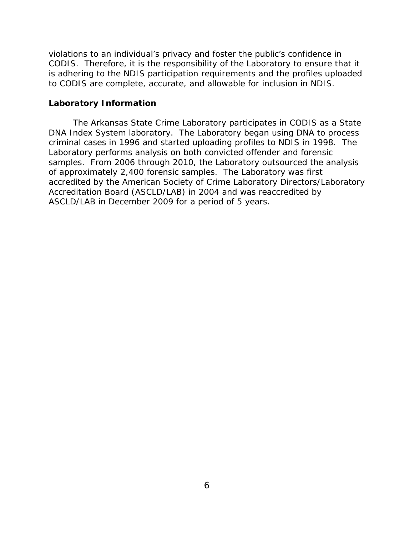<span id="page-9-0"></span>violations to an individual's privacy and foster the public's confidence in CODIS. Therefore, it is the responsibility of the Laboratory to ensure that it is adhering to the NDIS participation requirements and the profiles uploaded to CODIS are complete, accurate, and allowable for inclusion in NDIS.

#### **Laboratory Information**

The Arkansas State Crime Laboratory participates in CODIS as a State DNA Index System laboratory. The Laboratory began using DNA to process criminal cases in 1996 and started uploading profiles to NDIS in 1998. The Laboratory performs analysis on both convicted offender and forensic samples. From 2006 through 2010, the Laboratory outsourced the analysis of approximately 2,400 forensic samples. The Laboratory was first accredited by the American Society of Crime Laboratory Directors/Laboratory Accreditation Board (ASCLD/LAB) in 2004 and was reaccredited by ASCLD/LAB in December 2009 for a period of 5 years.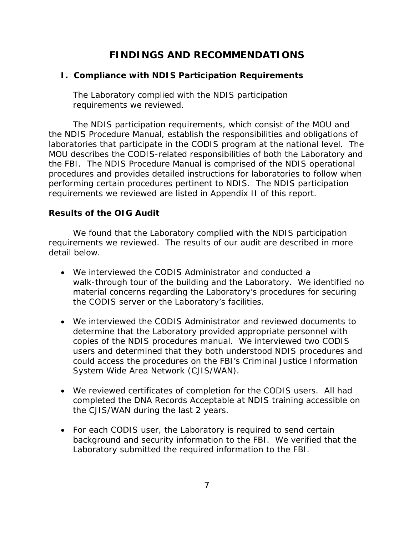## **FINDINGS AND RECOMMENDATIONS**

## <span id="page-10-0"></span>**I. Compliance with NDIS Participation Requirements**

The Laboratory complied with the NDIS participation requirements we reviewed.

The NDIS participation requirements, which consist of the MOU and the NDIS Procedure Manual, establish the responsibilities and obligations of laboratories that participate in the CODIS program at the national level. The MOU describes the CODIS-related responsibilities of both the Laboratory and the FBI. The NDIS Procedure Manual is comprised of the NDIS operational procedures and provides detailed instructions for laboratories to follow when performing certain procedures pertinent to NDIS. The NDIS participation requirements we reviewed are listed in Appendix II of this report.

## **Results of the OIG Audit**

We found that the Laboratory complied with the NDIS participation requirements we reviewed. The results of our audit are described in more detail below.

- We interviewed the CODIS Administrator and conducted a walk-through tour of the building and the Laboratory. We identified no material concerns regarding the Laboratory's procedures for securing the CODIS server or the Laboratory's facilities.
- We interviewed the CODIS Administrator and reviewed documents to determine that the Laboratory provided appropriate personnel with copies of the NDIS procedures manual. We interviewed two CODIS users and determined that they both understood NDIS procedures and could access the procedures on the FBI's Criminal Justice Information System Wide Area Network (CJIS/WAN).
- We reviewed certificates of completion for the CODIS users. All had completed the DNA Records Acceptable at NDIS training accessible on the CJIS/WAN during the last 2 years.
- For each CODIS user, the Laboratory is required to send certain background and security information to the FBI. We verified that the Laboratory submitted the required information to the FBI.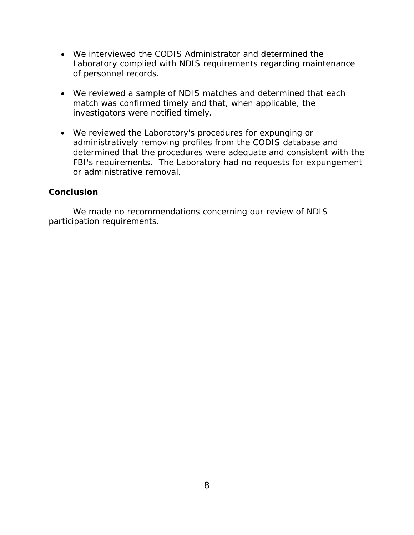- We interviewed the CODIS Administrator and determined the Laboratory complied with NDIS requirements regarding maintenance of personnel records.
- We reviewed a sample of NDIS matches and determined that each match was confirmed timely and that, when applicable, the investigators were notified timely.
- We reviewed the Laboratory's procedures for expunging or administratively removing profiles from the CODIS database and determined that the procedures were adequate and consistent with the FBI's requirements. The Laboratory had no requests for expungement or administrative removal.

## **Conclusion**

We made no recommendations concerning our review of NDIS participation requirements.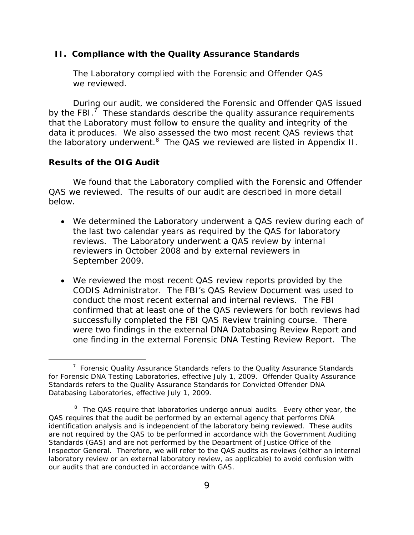#### <span id="page-12-0"></span>**II. Compliance with the Quality Assurance Standards**

The Laboratory complied with the Forensic and Offender QAS we reviewed.

During our audit, we considered the Forensic and Offender QAS issued by the FBI.<sup>7</sup> These standards describe the quality assurance requirements that the Laboratory must follow to ensure the quality and integrity of the data it produces. We also assessed the two most recent QAS reviews that the laboratory underwent. $8$  The QAS we reviewed are listed in Appendix II.

### **Results of the OIG Audit**

 $\overline{a}$ 

We found that the Laboratory complied with the Forensic and Offender QAS we reviewed. The results of our audit are described in more detail below.

- We determined the Laboratory underwent a QAS review during each of the last two calendar years as required by the QAS for laboratory reviews. The Laboratory underwent a QAS review by internal reviewers in October 2008 and by external reviewers in September 2009.
- We reviewed the most recent QAS review reports provided by the CODIS Administrator. The FBI's QAS Review Document was used to conduct the most recent external and internal reviews. The FBI confirmed that at least one of the QAS reviewers for both reviews had successfully completed the FBI QAS Review training course. There were two findings in the external DNA Databasing Review Report and one finding in the external Forensic DNA Testing Review Report. The

 $7$  Forensic Quality Assurance Standards refers to the Quality Assurance Standards for Forensic DNA Testing Laboratories, effective July 1, 2009. Offender Quality Assurance Standards refers to the Quality Assurance Standards for Convicted Offender DNA Databasing Laboratories, effective July 1, 2009.

 our audits that are conducted in accordance with GAS. <sup>8</sup> The QAS require that laboratories undergo annual audits. Every other year, the QAS requires that the audit be performed by an external agency that performs DNA identification analysis and is independent of the laboratory being reviewed. These audits are not required by the QAS to be performed in accordance with the *Government Auditing Standards* (GAS) and are not performed by the Department of Justice Office of the Inspector General. Therefore, we will refer to the QAS audits as reviews (either an internal laboratory review or an external laboratory review, as applicable) to avoid confusion with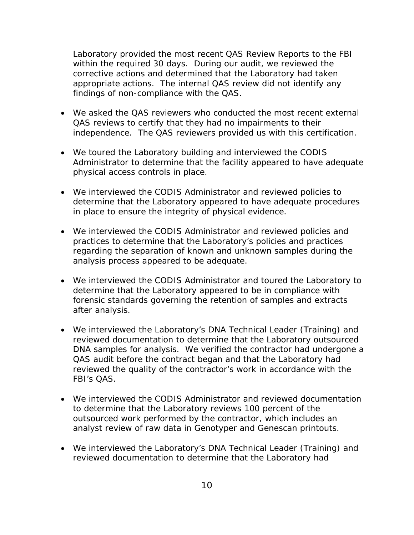Laboratory provided the most recent QAS Review Reports to the FBI within the required 30 days. During our audit, we reviewed the corrective actions and determined that the Laboratory had taken appropriate actions. The internal QAS review did not identify any findings of non-compliance with the QAS.

- We asked the QAS reviewers who conducted the most recent external QAS reviews to certify that they had no impairments to their independence. The QAS reviewers provided us with this certification.
- We toured the Laboratory building and interviewed the CODIS Administrator to determine that the facility appeared to have adequate physical access controls in place.
- We interviewed the CODIS Administrator and reviewed policies to determine that the Laboratory appeared to have adequate procedures in place to ensure the integrity of physical evidence.
- We interviewed the CODIS Administrator and reviewed policies and practices to determine that the Laboratory's policies and practices regarding the separation of known and unknown samples during the analysis process appeared to be adequate.
- We interviewed the CODIS Administrator and toured the Laboratory to determine that the Laboratory appeared to be in compliance with forensic standards governing the retention of samples and extracts after analysis.
- We interviewed the Laboratory's DNA Technical Leader (Training) and reviewed documentation to determine that the Laboratory outsourced DNA samples for analysis. We verified the contractor had undergone a QAS audit before the contract began and that the Laboratory had reviewed the quality of the contractor's work in accordance with the FBI's QAS.
- We interviewed the CODIS Administrator and reviewed documentation to determine that the Laboratory reviews 100 percent of the outsourced work performed by the contractor, which includes an analyst review of raw data in Genotyper and Genescan printouts.
- We interviewed the Laboratory's DNA Technical Leader (Training) and reviewed documentation to determine that the Laboratory had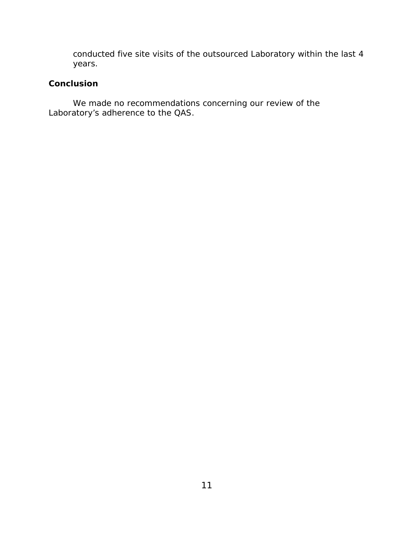conducted five site visits of the outsourced Laboratory within the last 4 years.

## **Conclusion**

We made no recommendations concerning our review of the Laboratory's adherence to the QAS.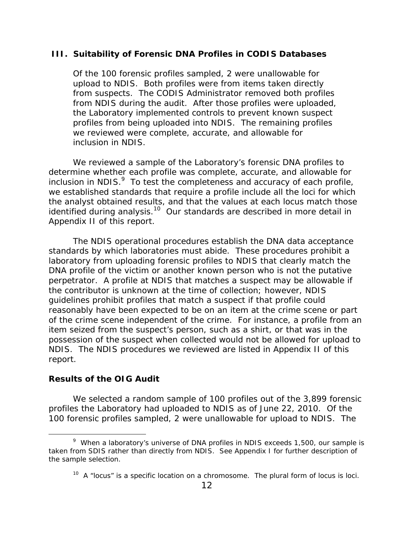## <span id="page-15-0"></span> **III. Suitability of Forensic DNA Profiles in CODIS Databases**

Of the 100 forensic profiles sampled, 2 were unallowable for upload to NDIS. Both profiles were from items taken directly from suspects. The CODIS Administrator removed both profiles from NDIS during the audit. After those profiles were uploaded, the Laboratory implemented controls to prevent known suspect profiles from being uploaded into NDIS. The remaining profiles we reviewed were complete, accurate, and allowable for inclusion in NDIS.

We reviewed a sample of the Laboratory's forensic DNA profiles to determine whether each profile was complete, accurate, and allowable for inclusion in NDIS. $9$  To test the completeness and accuracy of each profile, we established standards that require a profile include all the loci for which the analyst obtained results, and that the values at each locus match those identified during analysis.<sup>10</sup> Our standards are described in more detail in Appendix II of this report.

The NDIS operational procedures establish the DNA data acceptance standards by which laboratories must abide. These procedures prohibit a laboratory from uploading forensic profiles to NDIS that clearly match the DNA profile of the victim or another known person who is not the putative perpetrator. A profile at NDIS that matches a suspect may be allowable if the contributor is unknown at the time of collection; however, NDIS guidelines prohibit profiles that match a suspect if that profile could reasonably have been expected to be on an item at the crime scene or part of the crime scene independent of the crime. For instance, a profile from an item seized from the suspect's person, such as a shirt, or that was in the possession of the suspect when collected would not be allowed for upload to NDIS. The NDIS procedures we reviewed are listed in Appendix II of this report.

## **Results of the OIG Audit**

 $\overline{a}$ 

We selected a random sample of 100 profiles out of the 3,899 forensic profiles the Laboratory had uploaded to NDIS as of June 22, 2010. Of the 100 forensic profiles sampled, 2 were unallowable for upload to NDIS. The

<sup>&</sup>lt;sup>9</sup> When a laboratory's universe of DNA profiles in NDIS exceeds 1,500, our sample is taken from SDIS rather than directly from NDIS. See Appendix I for further description of the sample selection.

 $10$  A "locus" is a specific location on a chromosome. The plural form of locus is loci.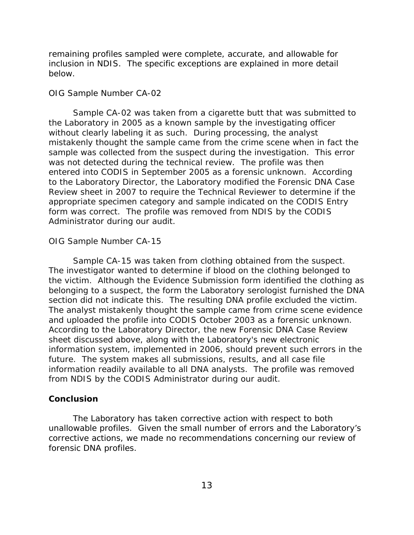remaining profiles sampled were complete, accurate, and allowable for inclusion in NDIS. The specific exceptions are explained in more detail below.

#### *OIG Sample Number CA-02*

Sample CA-02 was taken from a cigarette butt that was submitted to the Laboratory in 2005 as a known sample by the investigating officer without clearly labeling it as such. During processing, the analyst mistakenly thought the sample came from the crime scene when in fact the sample was collected from the suspect during the investigation. This error was not detected during the technical review. The profile was then entered into CODIS in September 2005 as a forensic unknown. According to the Laboratory Director, the Laboratory modified the *Forensic DNA Case Review* sheet in 2007 to require the Technical Reviewer to determine if the appropriate specimen category and sample indicated on the CODIS Entry form was correct. The profile was removed from NDIS by the CODIS Administrator during our audit.

#### *OIG Sample Number CA-15*

Sample CA-15 was taken from clothing obtained from the suspect. The investigator wanted to determine if blood on the clothing belonged to the victim. Although the Evidence Submission form identified the clothing as belonging to a suspect, the form the Laboratory serologist furnished the DNA section did not indicate this. The resulting DNA profile excluded the victim. The analyst mistakenly thought the sample came from crime scene evidence and uploaded the profile into CODIS October 2003 as a forensic unknown. According to the Laboratory Director, the new *Forensic DNA Case Review*  sheet discussed above, along with the Laboratory's new electronic information system, implemented in 2006, should prevent such errors in the future. The system makes all submissions, results, and all case file information readily available to all DNA analysts. The profile was removed from NDIS by the CODIS Administrator during our audit.

#### **Conclusion**

The Laboratory has taken corrective action with respect to both unallowable profiles. Given the small number of errors and the Laboratory's corrective actions, we made no recommendations concerning our review of forensic DNA profiles.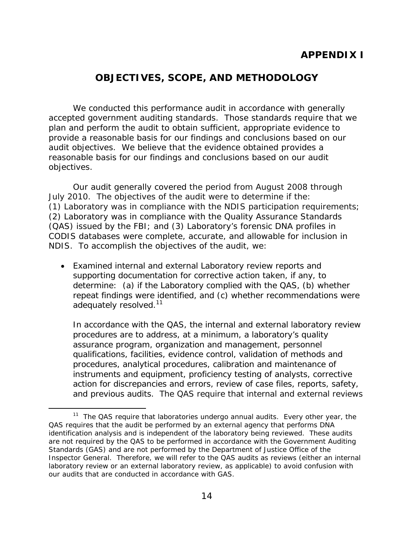## **APPENDIX I**

## **OBJECTIVES, SCOPE, AND METHODOLOGY**

<span id="page-17-0"></span>We conducted this performance audit in accordance with generally accepted government auditing standards. Those standards require that we plan and perform the audit to obtain sufficient, appropriate evidence to provide a reasonable basis for our findings and conclusions based on our audit objectives. We believe that the evidence obtained provides a reasonable basis for our findings and conclusions based on our audit objectives.

Our audit generally covered the period from August 2008 through July 2010. The objectives of the audit were to determine if the: (1) Laboratory was in compliance with the NDIS participation requirements; (2) Laboratory was in compliance with the Quality Assurance Standards (QAS) issued by the FBI; and (3) Laboratory's forensic DNA profiles in CODIS databases were complete, accurate, and allowable for inclusion in NDIS. To accomplish the objectives of the audit, we:

adequately resolved.<sup>11</sup> Examined internal and external Laboratory review reports and supporting documentation for corrective action taken, if any, to determine: (a) if the Laboratory complied with the QAS, (b) whether repeat findings were identified, and (c) whether recommendations were

 and previous audits. The QAS require that internal and external reviews In accordance with the QAS, the internal and external laboratory review procedures are to address, at a minimum, a laboratory's quality assurance program, organization and management, personnel qualifications, facilities, evidence control, validation of methods and procedures, analytical procedures, calibration and maintenance of instruments and equipment, proficiency testing of analysts, corrective action for discrepancies and errors, review of case files, reports, safety,

 $\overline{a}$ 

our audits that are conducted in accordance with GAS.<br>14 <sup>11</sup> The QAS require that laboratories undergo annual audits. Every other year, the QAS requires that the audit be performed by an external agency that performs DNA identification analysis and is independent of the laboratory being reviewed. These audits are not required by the QAS to be performed in accordance with the *Government Auditing Standards* (GAS) and are not performed by the Department of Justice Office of the Inspector General. Therefore, we will refer to the QAS audits as reviews (either an internal laboratory review or an external laboratory review, as applicable) to avoid confusion with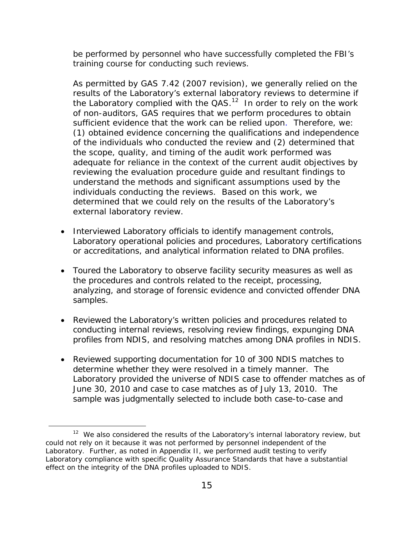training course for conducting such reviews. be performed by personnel who have successfully completed the FBI's

As permitted by GAS 7.42 (2007 revision), we generally relied on the results of the Laboratory's external laboratory reviews to determine if the Laboratory complied with the  $QAS$ .<sup>12</sup> In order to rely on the work of non-auditors, GAS requires that we perform procedures to obtain sufficient evidence that the work can be relied upon. Therefore, we: (1) obtained evidence concerning the qualifications and independence of the individuals who conducted the review and (2) determined that the scope, quality, and timing of the audit work performed was adequate for reliance in the context of the current audit objectives by reviewing the evaluation procedure guide and resultant findings to understand the methods and significant assumptions used by the individuals conducting the reviews. Based on this work, we determined that we could rely on the results of the Laboratory's external laboratory review.

- or accreditations, and analytical information related to DNA profiles. • Interviewed Laboratory officials to identify management controls, Laboratory operational policies and procedures, Laboratory certifications
- samples. Toured the Laboratory to observe facility security measures as well as the procedures and controls related to the receipt, processing, analyzing, and storage of forensic evidence and convicted offender DNA
- Reviewed the Laboratory's written policies and procedures related to conducting internal reviews, resolving review findings, expunging DNA profiles from NDIS, and resolving matches among DNA profiles in NDIS.
- Reviewed supporting documentation for 10 of 300 NDIS matches to determine whether they were resolved in a timely manner. The Laboratory provided the universe of NDIS case to offender matches as of June 30, 2010 and case to case matches as of July 13, 2010. The sample was judgmentally selected to include both case-to-case and

-

effect on the integrity of the DNA profiles uploaded to NDIS.<br>15 <sup>12</sup> We also considered the results of the Laboratory's internal laboratory review, but could not rely on it because it was not performed by personnel independent of the Laboratory. Further, as noted in Appendix II, we performed audit testing to verify Laboratory compliance with specific Quality Assurance Standards that have a substantial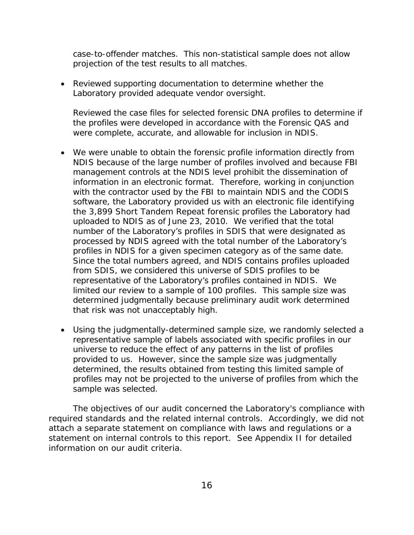case-to-offender matches. This non-statistical sample does not allow projection of the test results to all matches.

 Reviewed supporting documentation to determine whether the Laboratory provided adequate vendor oversight.

Reviewed the case files for selected forensic DNA profiles to determine if the profiles were developed in accordance with the Forensic QAS and were complete, accurate, and allowable for inclusion in NDIS.

- the 3,899 Short Tandem Repeat forensic profiles the Laboratory had profiles in NDIS for a given specimen category as of the same date. We were unable to obtain the forensic profile information directly from NDIS because of the large number of profiles involved and because FBI management controls at the NDIS level prohibit the dissemination of information in an electronic format. Therefore, working in conjunction with the contractor used by the FBI to maintain NDIS and the CODIS software, the Laboratory provided us with an electronic file identifying uploaded to NDIS as of June 23, 2010. We verified that the total number of the Laboratory's profiles in SDIS that were designated as processed by NDIS agreed with the total number of the Laboratory's Since the total numbers agreed, and NDIS contains profiles uploaded from SDIS, we considered this universe of SDIS profiles to be representative of the Laboratory's profiles contained in NDIS. We limited our review to a sample of 100 profiles. This sample size was determined judgmentally because preliminary audit work determined that risk was not unacceptably high.
- Using the judgmentally-determined sample size, we randomly selected a representative sample of labels associated with specific profiles in our universe to reduce the effect of any patterns in the list of profiles provided to us. However, since the sample size was judgmentally determined, the results obtained from testing this limited sample of profiles may not be projected to the universe of profiles from which the sample was selected.

The objectives of our audit concerned the Laboratory's compliance with required standards and the related internal controls. Accordingly, we did not attach a separate statement on compliance with laws and regulations or a statement on internal controls to this report. See Appendix II for detailed information on our audit criteria.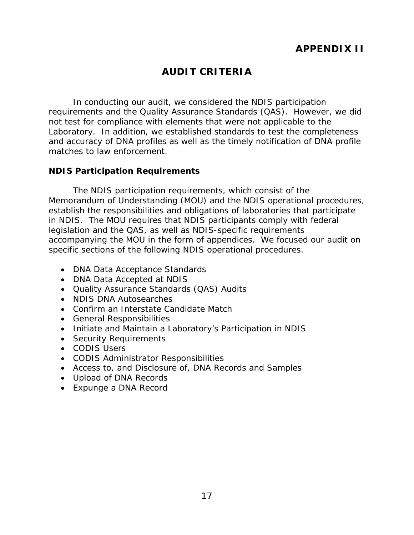# **APPENDIX II**

## **AUDIT CRITERIA**

<span id="page-20-0"></span>In conducting our audit, we considered the NDIS participation requirements and the Quality Assurance Standards (QAS). However, we did not test for compliance with elements that were not applicable to the Laboratory. In addition, we established standards to test the completeness and accuracy of DNA profiles as well as the timely notification of DNA profile matches to law enforcement.

## **NDIS Participation Requirements**

The NDIS participation requirements, which consist of the Memorandum of Understanding (MOU) and the NDIS operational procedures, establish the responsibilities and obligations of laboratories that participate in NDIS. The MOU requires that NDIS participants comply with federal legislation and the QAS, as well as NDIS-specific requirements accompanying the MOU in the form of appendices. We focused our audit on specific sections of the following NDIS operational procedures.

- DNA Data Acceptance Standards
- DNA Data Accepted at NDIS
- Quality Assurance Standards (QAS) Audits
- NDIS DNA Autosearches
- Confirm an Interstate Candidate Match
- General Responsibilities
- Initiate and Maintain a Laboratory's Participation in NDIS
- Security Requirements
- CODIS Users
- CODIS Administrator Responsibilities
- Access to, and Disclosure of, DNA Records and Samples
- Upload of DNA Records
- Expunge a DNA Record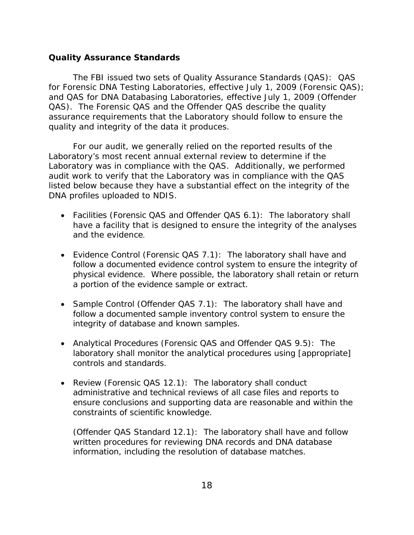## <span id="page-21-0"></span>**Quality Assurance Standards**

The FBI issued two sets of Quality Assurance Standards (QAS): QAS for Forensic DNA Testing Laboratories, effective July 1, 2009 (Forensic QAS); and QAS for DNA Databasing Laboratories, effective July 1, 2009 (Offender QAS). The Forensic QAS and the Offender QAS describe the quality assurance requirements that the Laboratory should follow to ensure the quality and integrity of the data it produces.

For our audit, we generally relied on the reported results of the Laboratory's most recent annual external review to determine if the Laboratory was in compliance with the QAS. Additionally, we performed audit work to verify that the Laboratory was in compliance with the QAS listed below because they have a substantial effect on the integrity of the DNA profiles uploaded to NDIS.

- Facilities (Forensic QAS and Offender QAS 6.1): The laboratory shall have a facility that is designed to ensure the integrity of the analyses and the evidence.
- Evidence Control (Forensic QAS 7.1): The laboratory shall have and follow a documented evidence control system to ensure the integrity of physical evidence. Where possible, the laboratory shall retain or return a portion of the evidence sample or extract.
- integrity of database and known samples. • Sample Control (Offender QAS 7.1): The laboratory shall have and follow a documented sample inventory control system to ensure the
- controls and standards. Analytical Procedures (Forensic QAS and Offender QAS 9.5): The laboratory shall monitor the analytical procedures using [appropriate]
- constraints of scientific knowledge. Review (Forensic QAS 12.1): The laboratory shall conduct administrative and technical reviews of all case files and reports to ensure conclusions and supporting data are reasonable and within the

(Offender QAS Standard 12.1): The laboratory shall have and follow written procedures for reviewing DNA records and DNA database information, including the resolution of database matches.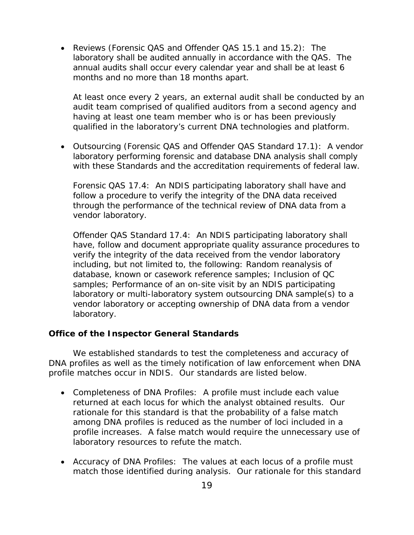<span id="page-22-0"></span>months and no more than 18 months apart. Reviews (Forensic QAS and Offender QAS 15.1 and 15.2): The laboratory shall be audited annually in accordance with the QAS. The annual audits shall occur every calendar year and shall be at least 6

At least once every 2 years, an external audit shall be conducted by an audit team comprised of qualified auditors from a second agency and having at least one team member who is or has been previously qualified in the laboratory's current DNA technologies and platform.

 Outsourcing (Forensic QAS and Offender QAS Standard 17.1): A vendor laboratory performing forensic and database DNA analysis shall comply with these Standards and the accreditation requirements of federal law.

Forensic QAS 17.4: An NDIS participating laboratory shall have and follow a procedure to verify the integrity of the DNA data received through the performance of the technical review of DNA data from a vendor laboratory.

Offender QAS Standard 17.4: An NDIS participating laboratory shall have, follow and document appropriate quality assurance procedures to verify the integrity of the data received from the vendor laboratory including, but not limited to, the following: Random reanalysis of database, known or casework reference samples; Inclusion of QC samples; Performance of an on-site visit by an NDIS participating laboratory or multi-laboratory system outsourcing DNA sample(s) to a vendor laboratory or accepting ownership of DNA data from a vendor laboratory.

#### **Office of the Inspector General Standards**

We established standards to test the completeness and accuracy of DNA profiles as well as the timely notification of law enforcement when DNA profile matches occur in NDIS. Our standards are listed below.

- Completeness of DNA Profiles: A profile must include each value returned at each locus for which the analyst obtained results. Our rationale for this standard is that the probability of a false match among DNA profiles is reduced as the number of loci included in a profile increases. A false match would require the unnecessary use of laboratory resources to refute the match.
- Accuracy of DNA Profiles: The values at each locus of a profile must match those identified during analysis. Our rationale for this standard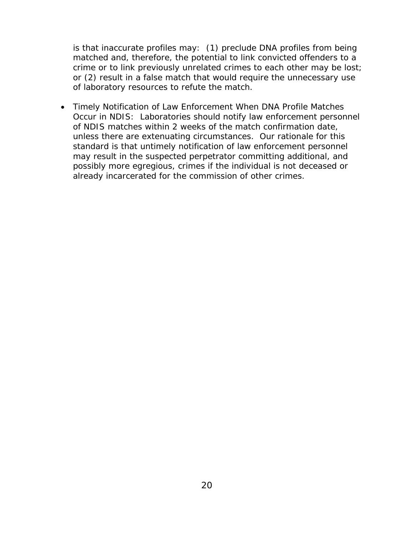is that inaccurate profiles may: (1) preclude DNA profiles from being matched and, therefore, the potential to link convicted offenders to a crime or to link previously unrelated crimes to each other may be lost; or (2) result in a false match that would require the unnecessary use of laboratory resources to refute the match.

already incarcerated for the commission of other crimes. Timely Notification of Law Enforcement When DNA Profile Matches Occur in NDIS: Laboratories should notify law enforcement personnel of NDIS matches within 2 weeks of the match confirmation date, unless there are extenuating circumstances. Our rationale for this standard is that untimely notification of law enforcement personnel may result in the suspected perpetrator committing additional, and possibly more egregious, crimes if the individual is not deceased or already incarcerated for the commission of other crimes.<br>  $20$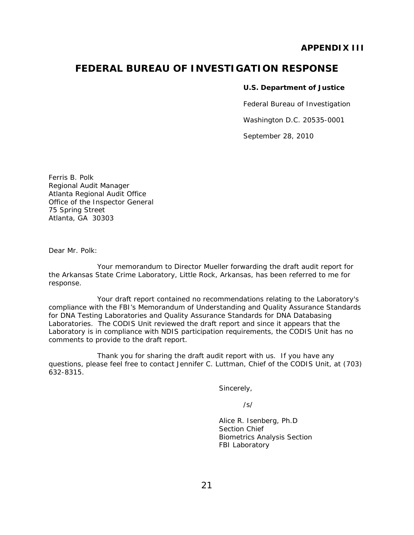## **APPENDIX III**

## **FEDERAL BUREAU OF INVESTIGATION RESPONSE**

#### **U.S. Department of Justice**

Federal Bureau of Investigation

Washington D.C. 20535-0001

September 28, 2010

Ferris B. Polk Regional Audit Manager Atlanta Regional Audit Office Office of the Inspector General 75 Spring Street Atlanta, GA 30303

Dear Mr. Polk:

Your memorandum to Director Mueller forwarding the draft audit report for the Arkansas State Crime Laboratory, Little Rock, Arkansas, has been referred to me for response.

 Laboratory is in compliance with NDIS participation requirements, the CODIS Unit has no Your draft report contained no recommendations relating to the Laboratory's compliance with the FBI's Memorandum of Understanding and *Quality Assurance Standards for DNA Testing Laboratories and Quality Assurance Standards for DNA Databasing Laboratories.* The CODIS Unit reviewed the draft report and since it appears that the comments to provide to the draft report.

Thank you for sharing the draft audit report with us. If you have any questions, please feel free to contact Jennifer C. Luttman, Chief of the CODIS Unit, at (703) 632-8315.

Sincerely,

/s/

 Alice R. Isenberg, Ph.D Section Chief Biometrics Analysis Section **FBI Laboratory FBI** Laboratory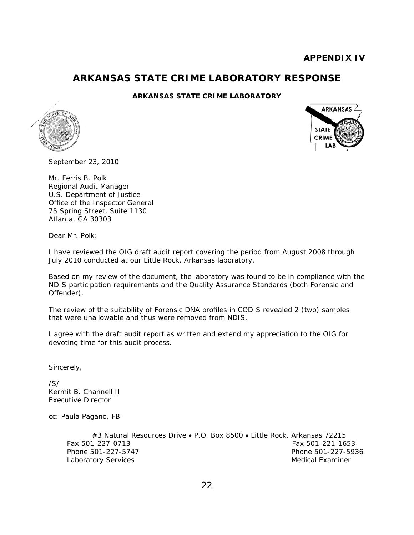## **ARKANSAS STATE CRIME LABORATORY RESPONSE**

#### **ARKANSAS STATE CRIME LABORATORY**





September 23, 2010

Mr. Ferris B. Polk Regional Audit Manager U.S. Department of Justice Office of the Inspector General 75 Spring Street, Suite 1130 Atlanta, GA 30303

Dear Mr. Polk:

I have reviewed the OIG draft audit report covering the period from August 2008 through July 2010 conducted at our Little Rock, Arkansas laboratory.

Based on my review of the document, the laboratory was found to be in compliance with the NDIS participation requirements and the Quality Assurance Standards (both Forensic and Offender).

The review of the suitability of Forensic DNA profiles in CODIS revealed 2 (two) samples that were unallowable and thus were removed from NDIS.

I agree with the draft audit report as written and extend my appreciation to the OIG for devoting time for this audit process.

Sincerely,

/S/ Kermit B. Channell II Executive Director

cc: Paula Pagano, FBI

#3 Natural Resources Drive . P.O. Box 8500 . Little Rock, Arkansas 72215 Fax 501-227-0713 Fax 501-221-1653 Phone 501-227-5747 Phone 501-227-5936 Laboratory Services **Medical Examiner** Medical Examiner